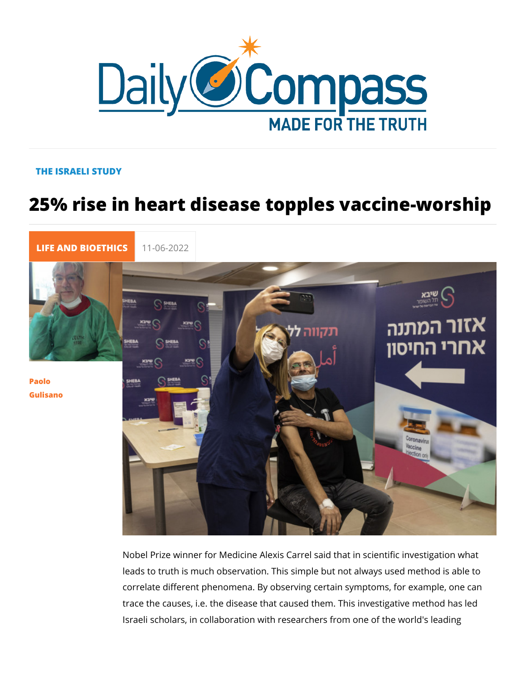## THE ISRAELI STUDY

## 25% rise in heart disease topples vacc

[LIFE AND BIOE](https://newdailycompass.com/en/life-and-bioethics) 11-06-2022

[Paol](/en/paolo-gulisano)o [Gulisa](/en/paolo-gulisano)no

> Nobel Prize winner for Medicine Alexis Carrel said that in scie leads to truth is much observation. This simple but not always correlate different phenomena. By observing certain symptoms trace the causes, i.e. the disease that caused them. This inve Israeli scholars, in collaboration with researchers from one of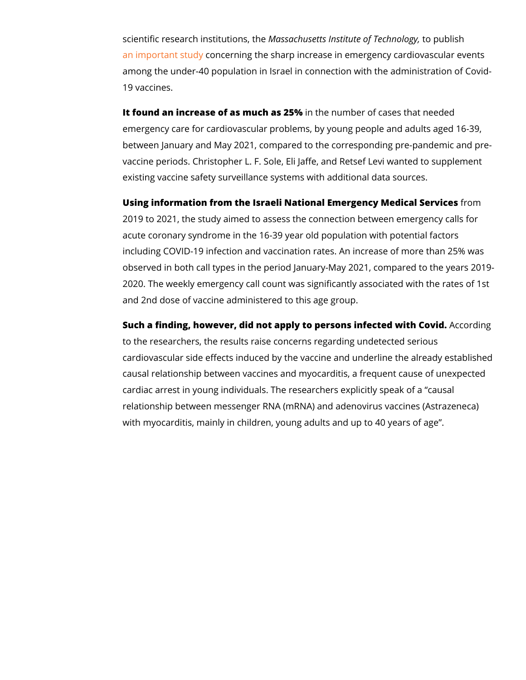scientific research instNitaustis anos, usheets Institute to prepolished logy, [an important](https://www.nature.com/articles/s41598-022-10928-z) sound grning the sharp increase in emergency cardi among the under-40 population in Israel in connection with the 19 vaccines.

It found an increase of as munch has n2u5n9% ber of cases that neede emergency care for cardiovascular problems, by young people between January and May 2021, compared to the corresponding vaccine periods. Christopher L. F. Sole, Eli Jaffe, and Retsef existing vaccine safety surveillance systems with additional da

Using information from the Israeli National Emergenciy of Mredical 2019 to 2021, the study aimed to assess the connection betwe acute coronary syndrome in the 16-39 year old population with including COVID-19 infection and vaccination rates. An increa observed in both call types in the period January-May 2021, com 2020. The weekly emergency call count was significantly assoc and 2nd dose of vaccine administered to this age group.

Such a finding, however, did not apply to persons iAlteccotredding it to the researchers, the results raise concerns regarding undet cardiovascular side effects induced by the vaccine and underli causal relationship between vaccines and myocarditis, a frequ cardiac arrest in young individuals. The researchers explicitly relationship between messenger RNA (mRNA) and adenovirus v with myocarditis, mainly in children, young adults and up to 40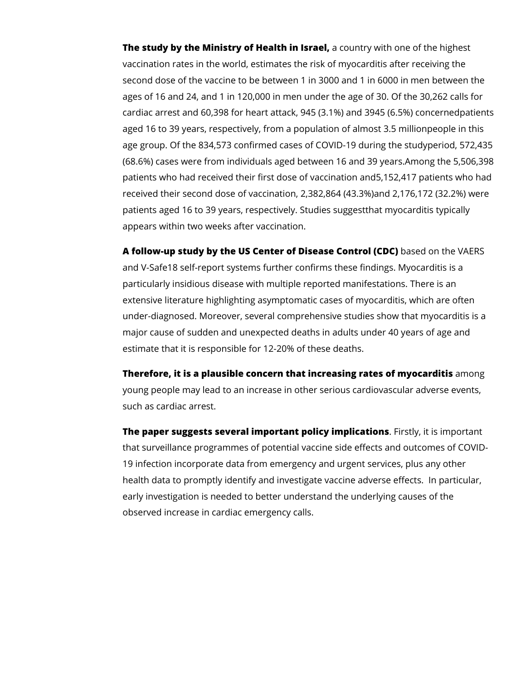**The study by the Ministry of Health in Israel,** a country with one of the highest vaccination rates in the world, estimates the risk of myocarditis after receiving the second dose of the vaccine to be between 1 in 3000 and 1 in 6000 in men between the ages of 16 and 24, and 1 in 120,000 in men under the age of 30. Of the 30,262 calls for cardiac arrest and 60,398 for heart attack, 945 (3.1%) and 3945 (6.5%) concernedpatients aged 16 to 39 years, respectively, from a population of almost 3.5 millionpeople in this age group. Of the 834,573 confirmed cases of COVID-19 during the studyperiod, 572,435 (68.6%) cases were from individuals aged between 16 and 39 years.Among the 5,506,398 patients who had received their first dose of vaccination and5,152,417 patients who had received their second dose of vaccination, 2,382,864 (43.3%)and 2,176,172 (32.2%) were patients aged 16 to 39 years, respectively. Studies suggestthat myocarditis typically appears within two weeks after vaccination.

**A follow-up study by the US Center of Disease Control (CDC)** based on the VAERS and V-Safe18 self-report systems further confirms these findings. Myocarditis is a particularly insidious disease with multiple reported manifestations. There is an extensive literature highlighting asymptomatic cases of myocarditis, which are often under-diagnosed. Moreover, several comprehensive studies show that myocarditis is a major cause of sudden and unexpected deaths in adults under 40 years of age and estimate that it is responsible for 12-20% of these deaths.

**Therefore, it is a plausible concern that increasing rates of myocarditis** among young people may lead to an increase in other serious cardiovascular adverse events, such as cardiac arrest.

**The paper suggests several important policy implications**. Firstly, it is important that surveillance programmes of potential vaccine side effects and outcomes of COVID-19 infection incorporate data from emergency and urgent services, plus any other health data to promptly identify and investigate vaccine adverse effects. In particular, early investigation is needed to better understand the underlying causes of the observed increase in cardiac emergency calls.